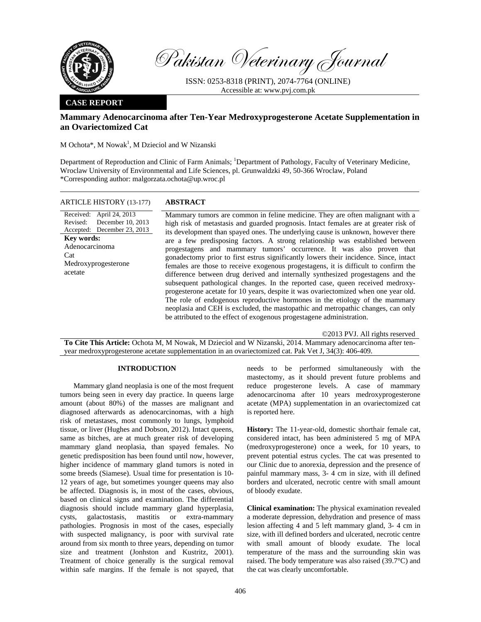

Pakistan Veterinary Journal

ISSN: 0253-8318 (PRINT), 2074-7764 (ONLINE) Accessible at: www.pvj.com.pk

## **CASE REPORT**

# **Mammary Adenocarcinoma after Ten-Year Medroxyprogesterone Acetate Supplementation in an Ovariectomized Cat**

 $M$  Ochota\*, M Nowak<sup>1</sup>, M Dzieciol and W Nizanski

Department of Reproduction and Clinic of Farm Animals; <sup>1</sup>Department of Pathology, Faculty of Veterinary Medicine, Wroclaw University of Environmental and Life Sciences, pl. Grunwaldzki 49, 50-366 Wroclaw, Poland \*Corresponding author: malgorzata.ochota@up.wroc.pl

| <b>ARTICLE HISTORY (13-177)</b>                                                                                                                                          | <b>ABSTRACT</b>                                                                                                                                                                                                                                                                                                                                                                                                                                                                                                                                                                                                                                                                                                                                                                                                                                                                                                                                                                                                                                                                                                                              |
|--------------------------------------------------------------------------------------------------------------------------------------------------------------------------|----------------------------------------------------------------------------------------------------------------------------------------------------------------------------------------------------------------------------------------------------------------------------------------------------------------------------------------------------------------------------------------------------------------------------------------------------------------------------------------------------------------------------------------------------------------------------------------------------------------------------------------------------------------------------------------------------------------------------------------------------------------------------------------------------------------------------------------------------------------------------------------------------------------------------------------------------------------------------------------------------------------------------------------------------------------------------------------------------------------------------------------------|
| Received: April 24, 2013<br>December 10, 2013<br>Revised:<br>Accepted: December 23, 2013<br><b>Key words:</b><br>Adenocarcinoma<br>Cat<br>Medroxyprogesterone<br>acetate | Mammary tumors are common in feline medicine. They are often malignant with a<br>high risk of metastasis and guarded prognosis. Intact females are at greater risk of<br>its development than spayed ones. The underlying cause is unknown, however there<br>are a few predisposing factors. A strong relationship was established between<br>progestagens and mammary tumors' occurrence. It was also proven that<br>gonadectomy prior to first estrus significantly lowers their incidence. Since, intact<br>females are those to receive exogenous progestagens, it is difficult to confirm the<br>difference between drug derived and internally synthesized progestagens and the<br>subsequent pathological changes. In the reported case, queen received medroxy-<br>progesterone acetate for 10 years, despite it was ovariectomized when one year old.<br>The role of endogenous reproductive hormones in the etiology of the mammary<br>neoplasia and CEH is excluded, the mastopathic and metropathic changes, can only<br>be attributed to the effect of exogenous progestagene administration.<br>©2013 PVJ. All rights reserved |
|                                                                                                                                                                          |                                                                                                                                                                                                                                                                                                                                                                                                                                                                                                                                                                                                                                                                                                                                                                                                                                                                                                                                                                                                                                                                                                                                              |

**To Cite This Article:** Ochota M, M Nowak, M Dzieciol and W Nizanski, 2014. Mammary adenocarcinoma after tenyear medroxyprogesterone acetate supplementation in an ovariectomized cat. Pak Vet J, 34(3): 406-409.

### **INTRODUCTION**

Mammary gland neoplasia is one of the most frequent tumors being seen in every day practice. In queens large amount (about 80%) of the masses are malignant and diagnosed afterwards as adenocarcinomas, with a high risk of metastases, most commonly to lungs, lymphoid tissue, or liver (Hughes and Dobson, 2012). Intact queens, same as bitches, are at much greater risk of developing mammary gland neoplasia, than spayed females. No genetic predisposition has been found until now, however, higher incidence of mammary gland tumors is noted in some breeds (Siamese). Usual time for presentation is 10- 12 years of age, but sometimes younger queens may also be affected. Diagnosis is, in most of the cases, obvious, based on clinical signs and examination. The differential diagnosis should include mammary gland hyperplasia, cysts, galactostasis, mastitis or extra-mammary pathologies. Prognosis in most of the cases, especially with suspected malignancy, is poor with survival rate around from six month to three years, depending on tumor size and treatment (Jonhston and Kustritz, 2001). Treatment of choice generally is the surgical removal within safe margins. If the female is not spayed, that

needs to be performed simultaneously with the mastectomy, as it should prevent future problems and reduce progesterone levels. A case of mammary adenocarcinoma after 10 years medroxyprogesterone acetate (MPA) supplementation in an ovariectomized cat is reported here.

**History:** The 11-year-old, domestic shorthair female cat, considered intact, has been administered 5 mg of MPA (medroxyprogesterone) once a week, for 10 years, to prevent potential estrus cycles. The cat was presented to our Clinic due to anorexia, depression and the presence of painful mammary mass, 3- 4 cm in size, with ill defined borders and ulcerated, necrotic centre with small amount of bloody exudate.

**Clinical examination:** The physical examination revealed a moderate depression, dehydration and presence of mass lesion affecting 4 and 5 left mammary gland, 3- 4 cm in size, with ill defined borders and ulcerated, necrotic centre with small amount of bloody exudate. The local temperature of the mass and the surrounding skin was raised. The body temperature was also raised (39.7°C) and the cat was clearly uncomfortable.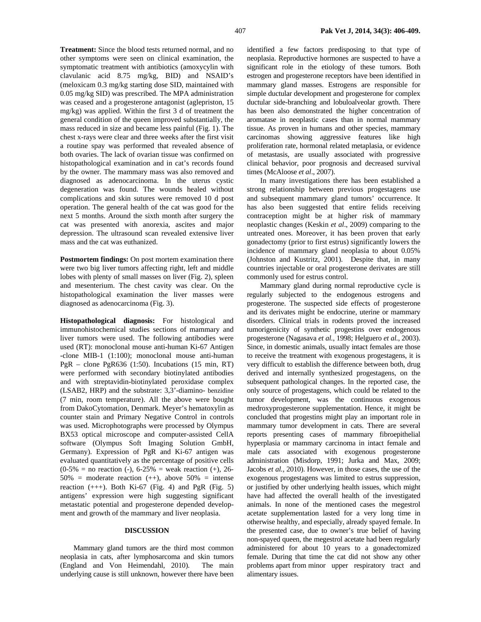**Treatment:** Since the blood tests returned normal, and no other symptoms were seen on clinical examination, the symptomatic treatment with antibiotics (amoxycylin with clavulanic acid 8.75 mg/kg, BID) and NSAID's (meloxicam 0.3 mg/kg starting dose SID, maintained with 0.05 mg/kg SID) was prescribed. The MPA administration was ceased and a progesterone antagonist (aglepriston, 15 mg/kg) was applied. Within the first 3 d of treatment the general condition of the queen improved substantially, the mass reduced in size and became less painful (Fig. 1). The chest x-rays were clear and three weeks after the first visit a routine spay was performed that revealed absence of both ovaries. The lack of ovarian tissue was confirmed on histopathological examination and in cat's records found by the owner. The mammary mass was also removed and diagnosed as adenocarcinoma. In the uterus cystic degeneration was found. The wounds healed without complications and skin sutures were removed 10 d post operation. The general health of the cat was good for the next 5 months. Around the sixth month after surgery the cat was presented with anorexia, ascites and major depression. The ultrasound scan revealed extensive liver mass and the cat was euthanized.

**Postmortem findings:** On post mortem examination there were two big liver tumors affecting right, left and middle lobes with plenty of small masses on liver (Fig. 2), spleen and mesenterium. The chest cavity was clear. On the histopathological examination the liver masses were diagnosed as adenocarcinoma (Fig. 3).

**Histopathological diagnosis:** For histological and immunohistochemical studies sections of mammary and liver tumors were used. The following antibodies were used (RT): monoclonal mouse anti-human Ki-67 Antigen -clone MIB-1 (1:100); monoclonal mouse anti-human PgR – clone PgR636 (1:50). Incubations (15 min, RT) were performed with secondary biotinylated antibodies and with streptavidin-biotinylated peroxidase complex (LSAB2, HRP) and the substrate: 3,3'-diamino- benzidine (7 min, room temperature). All the above were bought from DakoCytomation, Denmark. Meyer's hematoxylin as counter stain and Primary Negative Control in controls was used. Microphotographs were processed by Olympus BX53 optical microscope and computer-assisted CellA software (Olympus Soft Imaging Solution GmbH, Germany). Expression of PgR and Ki-67 antigen was evaluated quantitatively as the percentage of positive cells  $(0-5\% =$  no reaction (-),  $6-25\% =$  weak reaction (+), 26- $50\%$  = moderate reaction (++), above  $50\%$  = intense reaction  $(++)$ . Both Ki-67 (Fig. 4) and PgR (Fig. 5) antigens' expression were high suggesting significant metastatic potential and progesterone depended development and growth of the mammary and liver neoplasia.

## **DISCUSSION**

Mammary gland tumors are the third most common neoplasia in cats, after lymphosarcoma and skin tumors (England and Von Heimendahl, 2010). The main underlying cause is still unknown, however there have been identified a few factors predisposing to that type of neoplasia. Reproductive hormones are suspected to have a significant role in the etiology of these tumors. Both estrogen and progesterone receptors have been identified in mammary gland masses. Estrogens are responsible for simple ductular development and progesterone for complex ductular side-branching and lobuloalveolar growth. There has been also demonstrated the higher concentration of aromatase in neoplastic cases than in normal mammary tissue. As proven in humans and other species, mammary carcinomas showing aggressive features like high proliferation rate, hormonal related metaplasia, or evidence of metastasis, are usually associated with progressive clinical behavior, poor prognosis and decreased survival times (McAloose *et al*., 2007).

In many investigations there has been established a strong relationship between previous progestagens use and subsequent mammary gland tumors' occurrence. It has also been suggested that entire felids receiving contraception might be at higher risk of mammary neoplastic changes (Keskin *et al*., 2009) comparing to the untreated ones. Moreover, it has been proven that early gonadectomy (prior to first estrus) significantly lowers the incidence of mammary gland neoplasia to about 0.05% (Johnston and Kustritz, 2001). Despite that, in many countries injectable or oral progesterone derivates are still commonly used for estrus control.

Mammary gland during normal reproductive cycle is regularly subjected to the endogenous estrogens and progesterone. The suspected side effects of progesterone and its derivates might be endocrine, uterine or mammary disorders. Clinical trials in rodents proved the increased tumorigenicity of synthetic progestins over endogenous progesterone (Nagasava *et al.*, 1998; Helguero *et al.*, 2003). Since, in domestic animals, usually intact females are those to receive the treatment with exogenous progestagens, it is very difficult to establish the difference between both, drug derived and internally synthesized progestagens, on the subsequent pathological changes. In the reported case, the only source of progestagens, which could be related to the tumor development, was the continuous exogenous medroxyprogesterone supplementation. Hence, it might be concluded that progestins might play an important role in mammary tumor development in cats. There are several reports presenting cases of mammary fibroepithelial hyperplasia or mammary carcinoma in intact female and male cats associated with exogenous progesterone administration (Misdorp, 1991; Jurka and Max, 2009; Jacobs *et al.,* 2010). However, in those cases, the use of the exogenous progestagens was limited to estrus suppression, or justified by other underlying health issues, which might have had affected the overall health of the investigated animals. In none of the mentioned cases the megestrol acetate supplementation lasted for a very long time in otherwise healthy, and especially, already spayed female. In the presented case, due to owner's true belief of having non-spayed queen, the megestrol acetate had been regularly administered for about 10 years to a gonadectomized female. During that time the cat did not show any other problems apart from minor upper respiratory tract and alimentary issues.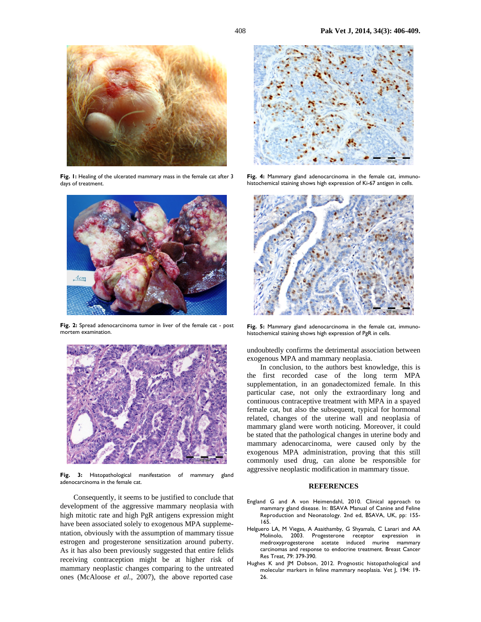

Fig. 1: Healing of the ulcerated mammary mass in the female cat after 3 days of treatment.



**Fig. 2:** Spread adenocarcinoma tumor in liver of the female cat - post mortem examination.



**Fig. 3:** Histopathological manifestation of mammary gland adenocarcinoma in the female cat.

Consequently, it seems to be justified to conclude that development of the aggressive mammary neoplasia with high mitotic rate and high PgR antigens expression might have been associated solely to exogenous MPA supplementation, obviously with the assumption of mammary tissue estrogen and progesterone sensitization around puberty. As it has also been previously suggested that entire felids receiving contraception might be at higher risk of mammary neoplastic changes comparing to the untreated ones (McAloose *et al.*, 2007), the above reported case



**Fig. 4:** Mammary gland adenocarcinoma in the female cat, immunohistochemical staining shows high expression of Ki-67 antigen in cells.



**Fig. 5:** Mammary gland adenocarcinoma in the female cat, immunohistochemical staining shows high expression of PgR in cells.

undoubtedly confirms the detrimental association between exogenous MPA and mammary neoplasia.

In conclusion, to the authors best knowledge, this is the first recorded case of the long term MPA supplementation, in an gonadectomized female. In this particular case, not only the extraordinary long and continuous contraceptive treatment with MPA in a spayed female cat, but also the subsequent, typical for hormonal related, changes of the uterine wall and neoplasia of mammary gland were worth noticing. Moreover, it could be stated that the pathological changes in uterine body and mammary adenocarcinoma, were caused only by the exogenous MPA administration, proving that this still commonly used drug, can alone be responsible for aggressive neoplastic modification in mammary tissue.

#### **REFERENCES**

- England G and A von Heimendahl, 2010. Clinical approach to mammary gland disease. In: BSAVA Manual of Canine and Feline Reproduction and Neonatology. 2nd ed, BSAVA, UK, pp: 155- 165.
- Helguero LA, M Viegas, A Asaithamby, G Shyamala, C Lanari and AA Molinolo, 2003. Progesterone receptor expression in medroxyprogesterone acetate induced murine mammary carcinomas and response to endocrine treatment. Breast Cancer Res Treat, 79: 379-390.
- Hughes K and JM Dobson, 2012. Prognostic histopathological and molecular markers in feline mammary neoplasia. Vet J, 194: 19- 26.